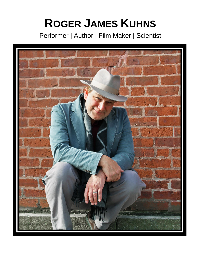# **ROGER JAMES KUHNS**

Performer | Author | Film Maker | Scientist